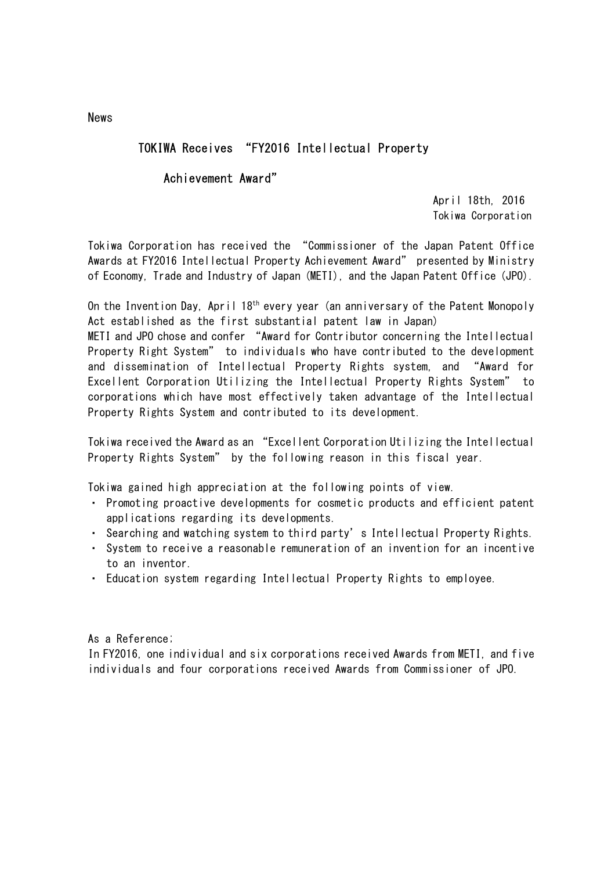## TOKIWA Receives "FY2016 Intellectual Property

#### Achievement Award"

 April 18th, 2016 Tokiwa Corporation

Tokiwa Corporation has received the "Commissioner of the Japan Patent Office Awards at FY2016 Intellectual Property Achievement Award" presented by Ministry of Economy, Trade and Industry of Japan (METI), and the Japan Patent Office (JPO).

On the Invention Day, April  $18<sup>th</sup>$  every year (an anniversary of the Patent Monopoly Act established as the first substantial patent law in Japan)

METI and JPO chose and confer "Award for Contributor concerning the Intellectual Property Right System" to individuals who have contributed to the development and dissemination of Intellectual Property Rights system, and "Award for Excellent Corporation Utilizing the Intellectual Property Rights System" to corporations which have most effectively taken advantage of the Intellectual Property Rights System and contributed to its development.

Tokiwa received the Award as an "Excellent Corporation Utilizing the Intellectual Property Rights System" by the following reason in this fiscal year.

Tokiwa gained high appreciation at the following points of view.

- ・ Promoting proactive developments for cosmetic products and efficient patent applications regarding its developments.
- ・ Searching and watching system to third party's Intellectual Property Rights.
- ・ System to receive a reasonable remuneration of an invention for an incentive to an inventor.
- ・ Education system regarding Intellectual Property Rights to employee.

As a Reference;

In FY2016, one individual and six corporations received Awards from METI, and five individuals and four corporations received Awards from Commissioner of JPO.

News